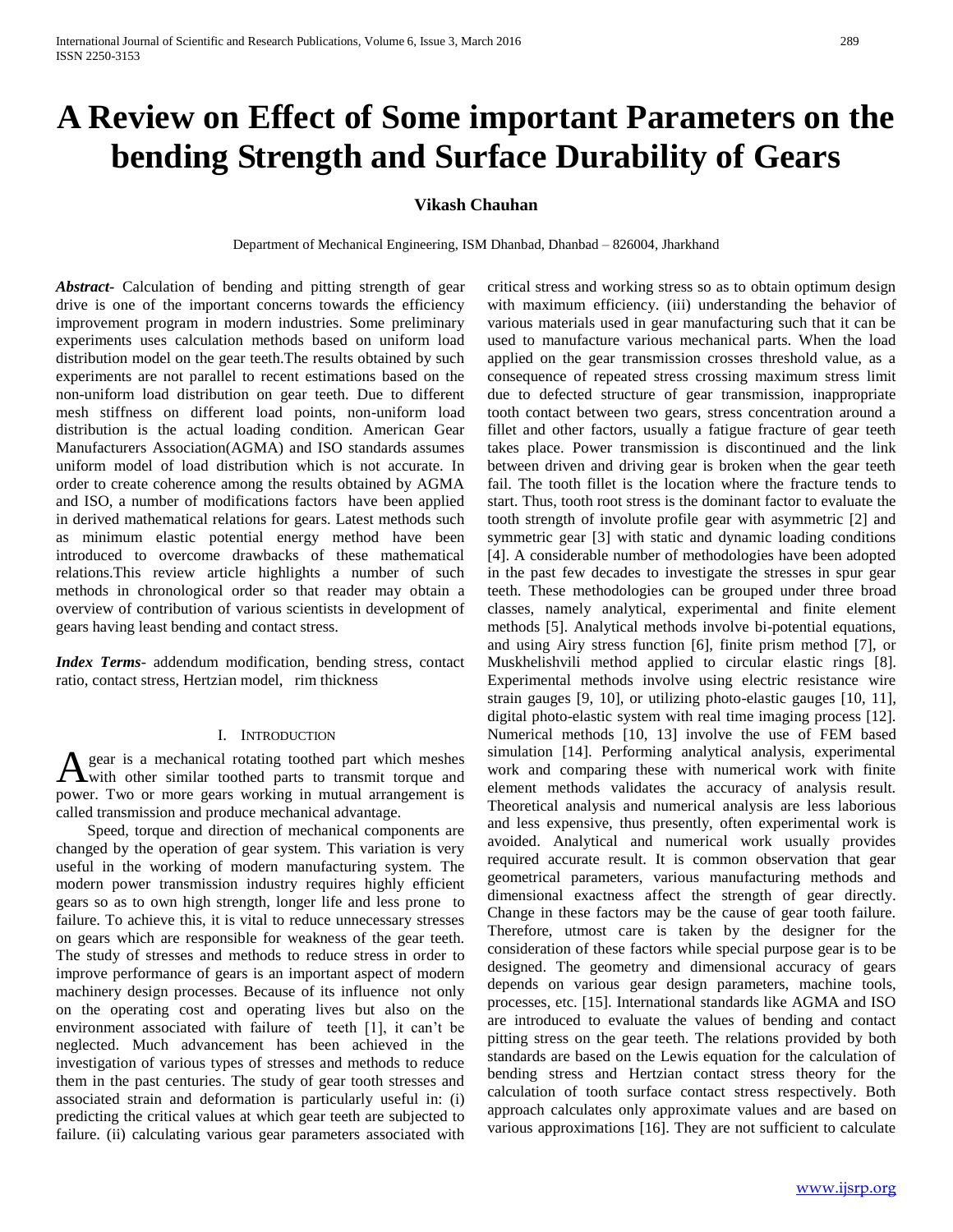# **A Review on Effect of Some important Parameters on the bending Strength and Surface Durability of Gears**

# **Vikash Chauhan**

Department of Mechanical Engineering, ISM Dhanbad, Dhanbad – 826004, Jharkhand

*Abstract***-** Calculation of bending and pitting strength of gear drive is one of the important concerns towards the efficiency improvement program in modern industries. Some preliminary experiments uses calculation methods based on uniform load distribution model on the gear teeth.The results obtained by such experiments are not parallel to recent estimations based on the non-uniform load distribution on gear teeth. Due to different mesh stiffness on different load points, non-uniform load distribution is the actual loading condition. American Gear Manufacturers Association(AGMA) and ISO standards assumes uniform model of load distribution which is not accurate. In order to create coherence among the results obtained by AGMA and ISO, a number of modifications factors have been applied in derived mathematical relations for gears. Latest methods such as minimum elastic potential energy method have been introduced to overcome drawbacks of these mathematical relations.This review article highlights a number of such methods in chronological order so that reader may obtain a overview of contribution of various scientists in development of gears having least bending and contact stress.

*Index Terms*- addendum modification, bending stress, contact ratio, contact stress, Hertzian model, rim thickness

### I. INTRODUCTION

gear is a mechanical rotating toothed part which meshes A gear is a mechanical rotating toothed part which meshes<br>with other similar toothed parts to transmit torque and power. Two or more gears working in mutual arrangement is called transmission and produce mechanical advantage.

 Speed, torque and direction of mechanical components are changed by the operation of gear system. This variation is very useful in the working of modern manufacturing system. The modern power transmission industry requires highly efficient gears so as to own high strength, longer life and less prone to failure. To achieve this, it is vital to reduce unnecessary stresses on gears which are responsible for weakness of the gear teeth. The study of stresses and methods to reduce stress in order to improve performance of gears is an important aspect of modern machinery design processes. Because of its influence not only on the operating cost and operating lives but also on the environment associated with failure of teeth [1], it can't be neglected. Much advancement has been achieved in the investigation of various types of stresses and methods to reduce them in the past centuries. The study of gear tooth stresses and associated strain and deformation is particularly useful in: (i) predicting the critical values at which gear teeth are subjected to failure. (ii) calculating various gear parameters associated with

critical stress and working stress so as to obtain optimum design with maximum efficiency. (iii) understanding the behavior of various materials used in gear manufacturing such that it can be used to manufacture various mechanical parts. When the load applied on the gear transmission crosses threshold value, as a consequence of repeated stress crossing maximum stress limit due to defected structure of gear transmission, inappropriate tooth contact between two gears, stress concentration around a fillet and other factors, usually a fatigue fracture of gear teeth takes place. Power transmission is discontinued and the link between driven and driving gear is broken when the gear teeth fail. The tooth fillet is the location where the fracture tends to start. Thus, tooth root stress is the dominant factor to evaluate the tooth strength of involute profile gear with asymmetric [2] and symmetric gear [3] with static and dynamic loading conditions [4]. A considerable number of methodologies have been adopted in the past few decades to investigate the stresses in spur gear teeth. These methodologies can be grouped under three broad classes, namely analytical, experimental and finite element methods [5]. Analytical methods involve bi-potential equations, and using Airy stress function [6], finite prism method [7], or Muskhelishvili method applied to circular elastic rings [8]. Experimental methods involve using electric resistance wire strain gauges [9, 10], or utilizing photo-elastic gauges [10, 11], digital photo-elastic system with real time imaging process [12]. Numerical methods [10, 13] involve the use of FEM based simulation [14]. Performing analytical analysis, experimental work and comparing these with numerical work with finite element methods validates the accuracy of analysis result. Theoretical analysis and numerical analysis are less laborious and less expensive, thus presently, often experimental work is avoided. Analytical and numerical work usually provides required accurate result. It is common observation that gear geometrical parameters, various manufacturing methods and dimensional exactness affect the strength of gear directly. Change in these factors may be the cause of gear tooth failure. Therefore, utmost care is taken by the designer for the consideration of these factors while special purpose gear is to be designed. The geometry and dimensional accuracy of gears depends on various gear design parameters, machine tools, processes, etc. [15]. International standards like AGMA and ISO are introduced to evaluate the values of bending and contact pitting stress on the gear teeth. The relations provided by both standards are based on the Lewis equation for the calculation of bending stress and Hertzian contact stress theory for the calculation of tooth surface contact stress respectively. Both approach calculates only approximate values and are based on various approximations [16]. They are not sufficient to calculate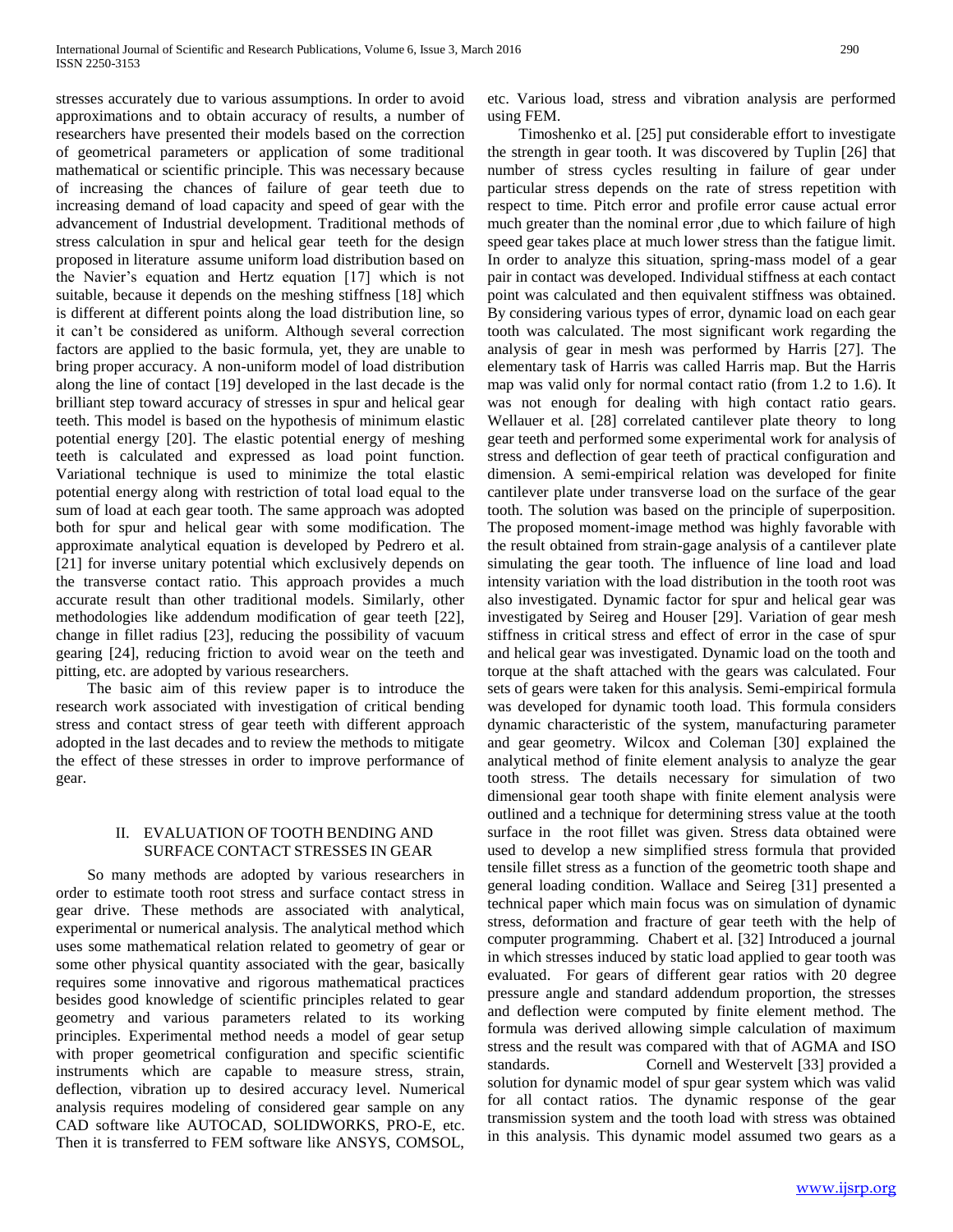stresses accurately due to various assumptions. In order to avoid approximations and to obtain accuracy of results, a number of researchers have presented their models based on the correction of geometrical parameters or application of some traditional mathematical or scientific principle. This was necessary because of increasing the chances of failure of gear teeth due to increasing demand of load capacity and speed of gear with the advancement of Industrial development. Traditional methods of stress calculation in spur and helical gear teeth for the design proposed in literature assume uniform load distribution based on the Navier's equation and Hertz equation [17] which is not suitable, because it depends on the meshing stiffness [18] which is different at different points along the load distribution line, so it can't be considered as uniform. Although several correction factors are applied to the basic formula, yet, they are unable to bring proper accuracy. A non-uniform model of load distribution along the line of contact [19] developed in the last decade is the brilliant step toward accuracy of stresses in spur and helical gear teeth. This model is based on the hypothesis of minimum elastic potential energy [20]. The elastic potential energy of meshing teeth is calculated and expressed as load point function. Variational technique is used to minimize the total elastic potential energy along with restriction of total load equal to the sum of load at each gear tooth. The same approach was adopted both for spur and helical gear with some modification. The approximate analytical equation is developed by Pedrero et al. [21] for inverse unitary potential which exclusively depends on the transverse contact ratio. This approach provides a much accurate result than other traditional models. Similarly, other methodologies like addendum modification of gear teeth [22], change in fillet radius [23], reducing the possibility of vacuum gearing [24], reducing friction to avoid wear on the teeth and pitting, etc. are adopted by various researchers.

 The basic aim of this review paper is to introduce the research work associated with investigation of critical bending stress and contact stress of gear teeth with different approach adopted in the last decades and to review the methods to mitigate the effect of these stresses in order to improve performance of gear.

# II. EVALUATION OF TOOTH BENDING AND SURFACE CONTACT STRESSES IN GEAR

 So many methods are adopted by various researchers in order to estimate tooth root stress and surface contact stress in gear drive. These methods are associated with analytical, experimental or numerical analysis. The analytical method which uses some mathematical relation related to geometry of gear or some other physical quantity associated with the gear, basically requires some innovative and rigorous mathematical practices besides good knowledge of scientific principles related to gear geometry and various parameters related to its working principles. Experimental method needs a model of gear setup with proper geometrical configuration and specific scientific instruments which are capable to measure stress, strain, deflection, vibration up to desired accuracy level. Numerical analysis requires modeling of considered gear sample on any CAD software like AUTOCAD, SOLIDWORKS, PRO-E, etc. Then it is transferred to FEM software like ANSYS, COMSOL,

etc. Various load, stress and vibration analysis are performed using FEM.

 Timoshenko et al. [25] put considerable effort to investigate the strength in gear tooth. It was discovered by Tuplin [26] that number of stress cycles resulting in failure of gear under particular stress depends on the rate of stress repetition with respect to time. Pitch error and profile error cause actual error much greater than the nominal error ,due to which failure of high speed gear takes place at much lower stress than the fatigue limit. In order to analyze this situation, spring-mass model of a gear pair in contact was developed. Individual stiffness at each contact point was calculated and then equivalent stiffness was obtained. By considering various types of error, dynamic load on each gear tooth was calculated. The most significant work regarding the analysis of gear in mesh was performed by Harris [27]. The elementary task of Harris was called Harris map. But the Harris map was valid only for normal contact ratio (from 1.2 to 1.6). It was not enough for dealing with high contact ratio gears. Wellauer et al. [28] correlated cantilever plate theory to long gear teeth and performed some experimental work for analysis of stress and deflection of gear teeth of practical configuration and dimension. A semi-empirical relation was developed for finite cantilever plate under transverse load on the surface of the gear tooth. The solution was based on the principle of superposition. The proposed moment-image method was highly favorable with the result obtained from strain-gage analysis of a cantilever plate simulating the gear tooth. The influence of line load and load intensity variation with the load distribution in the tooth root was also investigated. Dynamic factor for spur and helical gear was investigated by Seireg and Houser [29]. Variation of gear mesh stiffness in critical stress and effect of error in the case of spur and helical gear was investigated. Dynamic load on the tooth and torque at the shaft attached with the gears was calculated. Four sets of gears were taken for this analysis. Semi-empirical formula was developed for dynamic tooth load. This formula considers dynamic characteristic of the system, manufacturing parameter and gear geometry. Wilcox and Coleman [30] explained the analytical method of finite element analysis to analyze the gear tooth stress. The details necessary for simulation of two dimensional gear tooth shape with finite element analysis were outlined and a technique for determining stress value at the tooth surface in the root fillet was given. Stress data obtained were used to develop a new simplified stress formula that provided tensile fillet stress as a function of the geometric tooth shape and general loading condition. Wallace and Seireg [31] presented a technical paper which main focus was on simulation of dynamic stress, deformation and fracture of gear teeth with the help of computer programming. Chabert et al. [32] Introduced a journal in which stresses induced by static load applied to gear tooth was evaluated. For gears of different gear ratios with 20 degree pressure angle and standard addendum proportion, the stresses and deflection were computed by finite element method. The formula was derived allowing simple calculation of maximum stress and the result was compared with that of AGMA and ISO standards. Cornell and Westervelt [33] provided a solution for dynamic model of spur gear system which was valid for all contact ratios. The dynamic response of the gear transmission system and the tooth load with stress was obtained in this analysis. This dynamic model assumed two gears as a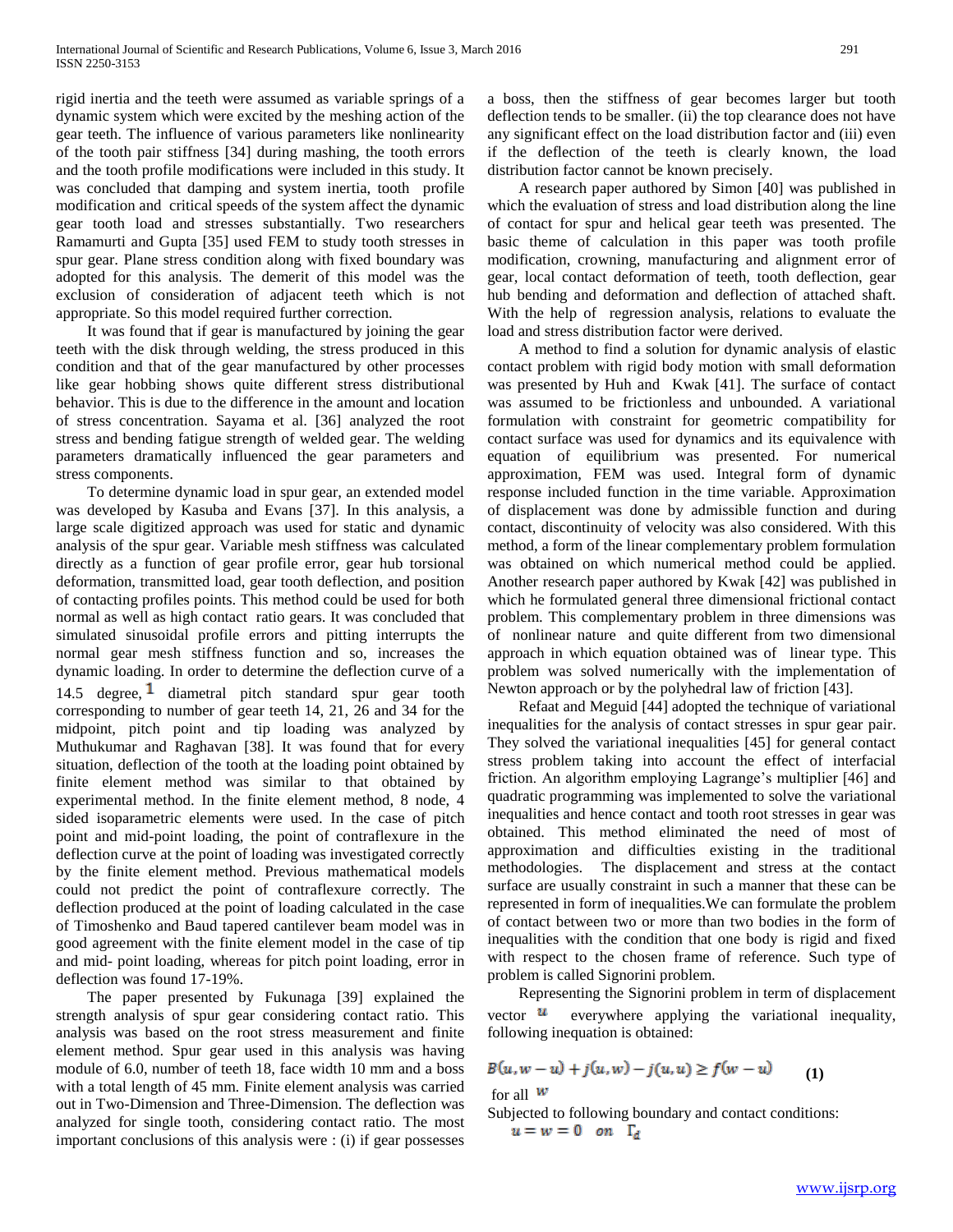rigid inertia and the teeth were assumed as variable springs of a dynamic system which were excited by the meshing action of the gear teeth. The influence of various parameters like nonlinearity of the tooth pair stiffness [34] during mashing, the tooth errors and the tooth profile modifications were included in this study. It was concluded that damping and system inertia, tooth profile modification and critical speeds of the system affect the dynamic gear tooth load and stresses substantially. Two researchers Ramamurti and Gupta [35] used FEM to study tooth stresses in spur gear. Plane stress condition along with fixed boundary was adopted for this analysis. The demerit of this model was the exclusion of consideration of adjacent teeth which is not appropriate. So this model required further correction.

 It was found that if gear is manufactured by joining the gear teeth with the disk through welding, the stress produced in this condition and that of the gear manufactured by other processes like gear hobbing shows quite different stress distributional behavior. This is due to the difference in the amount and location of stress concentration. Sayama et al. [36] analyzed the root stress and bending fatigue strength of welded gear. The welding parameters dramatically influenced the gear parameters and stress components.

 To determine dynamic load in spur gear, an extended model was developed by Kasuba and Evans [37]. In this analysis, a large scale digitized approach was used for static and dynamic analysis of the spur gear. Variable mesh stiffness was calculated directly as a function of gear profile error, gear hub torsional deformation, transmitted load, gear tooth deflection, and position of contacting profiles points. This method could be used for both normal as well as high contact ratio gears. It was concluded that simulated sinusoidal profile errors and pitting interrupts the normal gear mesh stiffness function and so, increases the dynamic loading. In order to determine the deflection curve of a 14.5 degree,  $\frac{1}{2}$  diametral pitch standard spur gear tooth corresponding to number of gear teeth 14, 21, 26 and 34 for the midpoint, pitch point and tip loading was analyzed by Muthukumar and Raghavan [38]. It was found that for every situation, deflection of the tooth at the loading point obtained by finite element method was similar to that obtained by experimental method. In the finite element method, 8 node, 4 sided isoparametric elements were used. In the case of pitch point and mid-point loading, the point of contraflexure in the deflection curve at the point of loading was investigated correctly by the finite element method. Previous mathematical models could not predict the point of contraflexure correctly. The deflection produced at the point of loading calculated in the case of Timoshenko and Baud tapered cantilever beam model was in good agreement with the finite element model in the case of tip and mid- point loading, whereas for pitch point loading, error in deflection was found 17-19%.

 The paper presented by Fukunaga [39] explained the strength analysis of spur gear considering contact ratio. This analysis was based on the root stress measurement and finite element method. Spur gear used in this analysis was having module of 6.0, number of teeth 18, face width 10 mm and a boss with a total length of 45 mm. Finite element analysis was carried out in Two-Dimension and Three-Dimension. The deflection was analyzed for single tooth, considering contact ratio. The most important conclusions of this analysis were : (i) if gear possesses

a boss, then the stiffness of gear becomes larger but tooth deflection tends to be smaller. (ii) the top clearance does not have any significant effect on the load distribution factor and (iii) even if the deflection of the teeth is clearly known, the load distribution factor cannot be known precisely.

 A research paper authored by Simon [40] was published in which the evaluation of stress and load distribution along the line of contact for spur and helical gear teeth was presented. The basic theme of calculation in this paper was tooth profile modification, crowning, manufacturing and alignment error of gear, local contact deformation of teeth, tooth deflection, gear hub bending and deformation and deflection of attached shaft. With the help of regression analysis, relations to evaluate the load and stress distribution factor were derived.

 A method to find a solution for dynamic analysis of elastic contact problem with rigid body motion with small deformation was presented by Huh and Kwak [41]. The surface of contact was assumed to be frictionless and unbounded. A variational formulation with constraint for geometric compatibility for contact surface was used for dynamics and its equivalence with equation of equilibrium was presented. For numerical approximation, FEM was used. Integral form of dynamic response included function in the time variable. Approximation of displacement was done by admissible function and during contact, discontinuity of velocity was also considered. With this method, a form of the linear complementary problem formulation was obtained on which numerical method could be applied. Another research paper authored by Kwak [42] was published in which he formulated general three dimensional frictional contact problem. This complementary problem in three dimensions was of nonlinear nature and quite different from two dimensional approach in which equation obtained was of linear type. This problem was solved numerically with the implementation of Newton approach or by the polyhedral law of friction [43].

 Refaat and Meguid [44] adopted the technique of variational inequalities for the analysis of contact stresses in spur gear pair. They solved the variational inequalities [45] for general contact stress problem taking into account the effect of interfacial friction. An algorithm employing Lagrange's multiplier [46] and quadratic programming was implemented to solve the variational inequalities and hence contact and tooth root stresses in gear was obtained. This method eliminated the need of most of approximation and difficulties existing in the traditional methodologies. The displacement and stress at the contact surface are usually constraint in such a manner that these can be represented in form of inequalities.We can formulate the problem of contact between two or more than two bodies in the form of inequalities with the condition that one body is rigid and fixed with respect to the chosen frame of reference. Such type of problem is called Signorini problem.

 Representing the Signorini problem in term of displacement vector  $\mathbf{u}$  everywhere applying the variational inequality, following inequation is obtained:

$$
B(u, w - u) + j(u, w) - j(u, u) \ge f(w - u)
$$
 (1)

for all  $W$ 

Subjected to following boundary and contact conditions:  $u = w = 0$  on  $\Gamma_d$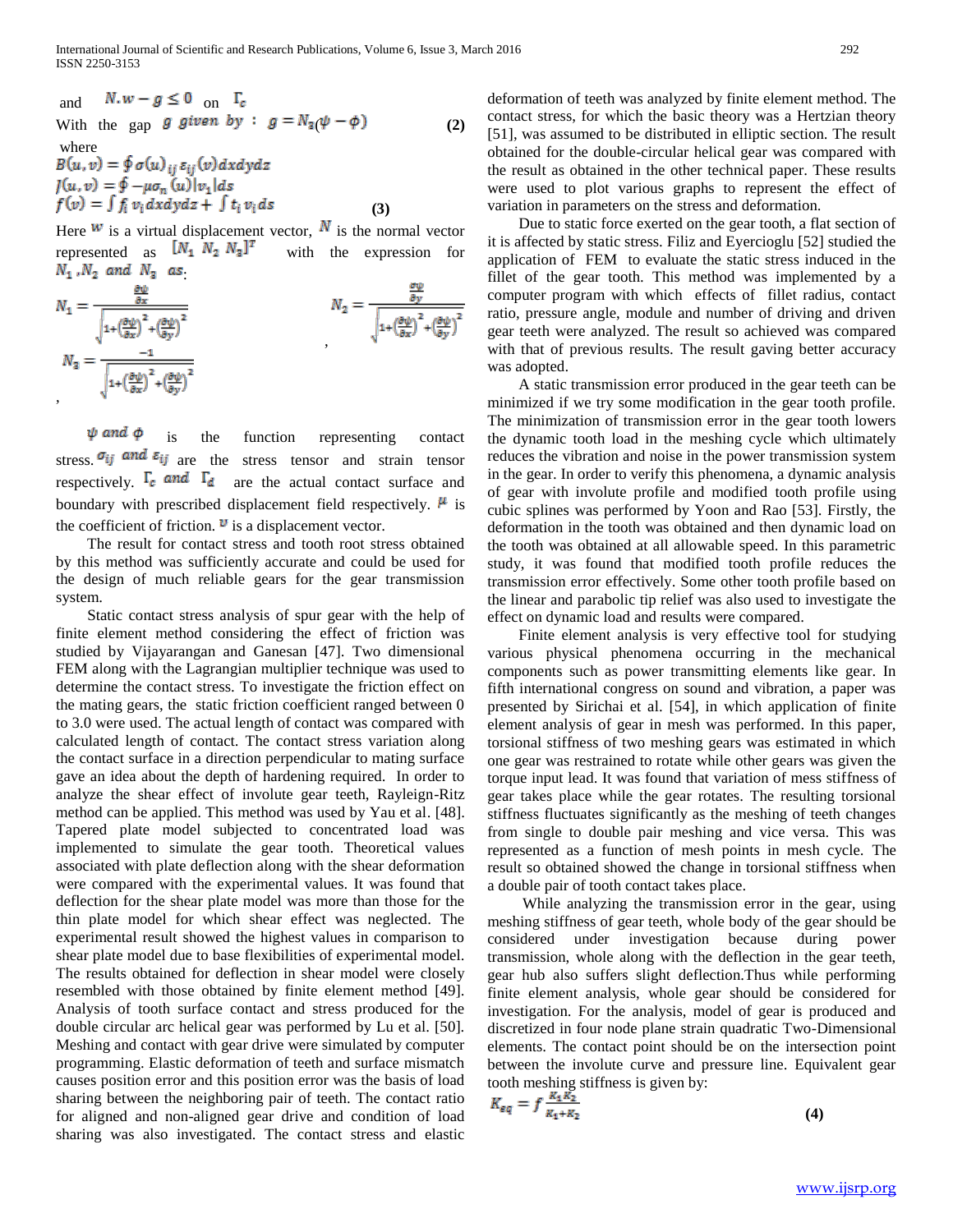and 
$$
N.w - g \le 0
$$
 on  $\Gamma_c$   
\nWith the gap *g given by* :  $g = N_a(\psi - \phi)$  (2)  
\nwhere  
\n $B(u, v) = \oint \sigma(u)_{ij} \varepsilon_{ij}(v) dx dy dz$   
\n $J(u, v) = \oint -\mu \sigma_n(u) |v_1| ds$   
\n $f(v) = \int f_i v_i dx dy dz + \int t_i v_i ds$  (3)

Here  $w$  is a virtual displacement vector,  $N$  is the normal vector represented as  $[N_1 \ N_2 \ N_3]^T$  with the expression for  $N_1$ ,  $N_2$  and  $N_3$  as

$$
N_1 = \frac{\frac{\partial \psi}{\partial x}}{\sqrt{1 + \left(\frac{\partial \psi}{\partial x}\right)^2 + \left(\frac{\partial \psi}{\partial y}\right)^2}}
$$
\n
$$
N_2 = \frac{\frac{\partial \psi}{\partial y}}{\sqrt{1 + \left(\frac{\partial \psi}{\partial x}\right)^2 + \left(\frac{\partial \psi}{\partial y}\right)^2}}
$$
\n
$$
N_3 = \frac{-1}{\sqrt{1 + \left(\frac{\partial \psi}{\partial x}\right)^2 + \left(\frac{\partial \psi}{\partial y}\right)^2}}
$$

 $\psi$  and  $\phi$  is the function representing contact stress.  $\sigma_{ij}$  and  $\varepsilon_{ij}$  are the stress tensor and strain tensor respectively.  $\Gamma_c$  and  $\Gamma_d$  are the actual contact surface and are the actual contact surface and boundary with prescribed displacement field respectively.  $\mu$  is the coefficient of friction.  $\mathbf{v}$  is a displacement vector.

 The result for contact stress and tooth root stress obtained by this method was sufficiently accurate and could be used for the design of much reliable gears for the gear transmission system.

 Static contact stress analysis of spur gear with the help of finite element method considering the effect of friction was studied by Vijayarangan and Ganesan [47]. Two dimensional FEM along with the Lagrangian multiplier technique was used to determine the contact stress. To investigate the friction effect on the mating gears, the static friction coefficient ranged between 0 to 3.0 were used. The actual length of contact was compared with calculated length of contact. The contact stress variation along the contact surface in a direction perpendicular to mating surface gave an idea about the depth of hardening required. In order to analyze the shear effect of involute gear teeth, Rayleign-Ritz method can be applied. This method was used by Yau et al. [48]. Tapered plate model subjected to concentrated load was implemented to simulate the gear tooth. Theoretical values associated with plate deflection along with the shear deformation were compared with the experimental values. It was found that deflection for the shear plate model was more than those for the thin plate model for which shear effect was neglected. The experimental result showed the highest values in comparison to shear plate model due to base flexibilities of experimental model. The results obtained for deflection in shear model were closely resembled with those obtained by finite element method [49]. Analysis of tooth surface contact and stress produced for the double circular arc helical gear was performed by Lu et al. [50]. Meshing and contact with gear drive were simulated by computer programming. Elastic deformation of teeth and surface mismatch causes position error and this position error was the basis of load sharing between the neighboring pair of teeth. The contact ratio for aligned and non-aligned gear drive and condition of load sharing was also investigated. The contact stress and elastic

deformation of teeth was analyzed by finite element method. The contact stress, for which the basic theory was a Hertzian theory [51], was assumed to be distributed in elliptic section. The result obtained for the double-circular helical gear was compared with the result as obtained in the other technical paper. These results were used to plot various graphs to represent the effect of variation in parameters on the stress and deformation.

 Due to static force exerted on the gear tooth, a flat section of it is affected by static stress. Filiz and Eyercioglu [52] studied the application of FEM to evaluate the static stress induced in the fillet of the gear tooth. This method was implemented by a computer program with which effects of fillet radius, contact ratio, pressure angle, module and number of driving and driven gear teeth were analyzed. The result so achieved was compared with that of previous results. The result gaving better accuracy was adopted.

 A static transmission error produced in the gear teeth can be minimized if we try some modification in the gear tooth profile. The minimization of transmission error in the gear tooth lowers the dynamic tooth load in the meshing cycle which ultimately reduces the vibration and noise in the power transmission system in the gear. In order to verify this phenomena, a dynamic analysis of gear with involute profile and modified tooth profile using cubic splines was performed by Yoon and Rao [53]. Firstly, the deformation in the tooth was obtained and then dynamic load on the tooth was obtained at all allowable speed. In this parametric study, it was found that modified tooth profile reduces the transmission error effectively. Some other tooth profile based on the linear and parabolic tip relief was also used to investigate the effect on dynamic load and results were compared.

 Finite element analysis is very effective tool for studying various physical phenomena occurring in the mechanical components such as power transmitting elements like gear. In fifth international congress on sound and vibration, a paper was presented by Sirichai et al. [54], in which application of finite element analysis of gear in mesh was performed. In this paper, torsional stiffness of two meshing gears was estimated in which one gear was restrained to rotate while other gears was given the torque input lead. It was found that variation of mess stiffness of gear takes place while the gear rotates. The resulting torsional stiffness fluctuates significantly as the meshing of teeth changes from single to double pair meshing and vice versa. This was represented as a function of mesh points in mesh cycle. The result so obtained showed the change in torsional stiffness when a double pair of tooth contact takes place.

 While analyzing the transmission error in the gear, using meshing stiffness of gear teeth, whole body of the gear should be considered under investigation because during power transmission, whole along with the deflection in the gear teeth, gear hub also suffers slight deflection.Thus while performing finite element analysis, whole gear should be considered for investigation. For the analysis, model of gear is produced and discretized in four node plane strain quadratic Two-Dimensional elements. The contact point should be on the intersection point between the involute curve and pressure line. Equivalent gear tooth meshing stiffness is given by:

$$
K_{eq} = f \frac{m_1 m_2}{K_1 + K_2} \tag{4}
$$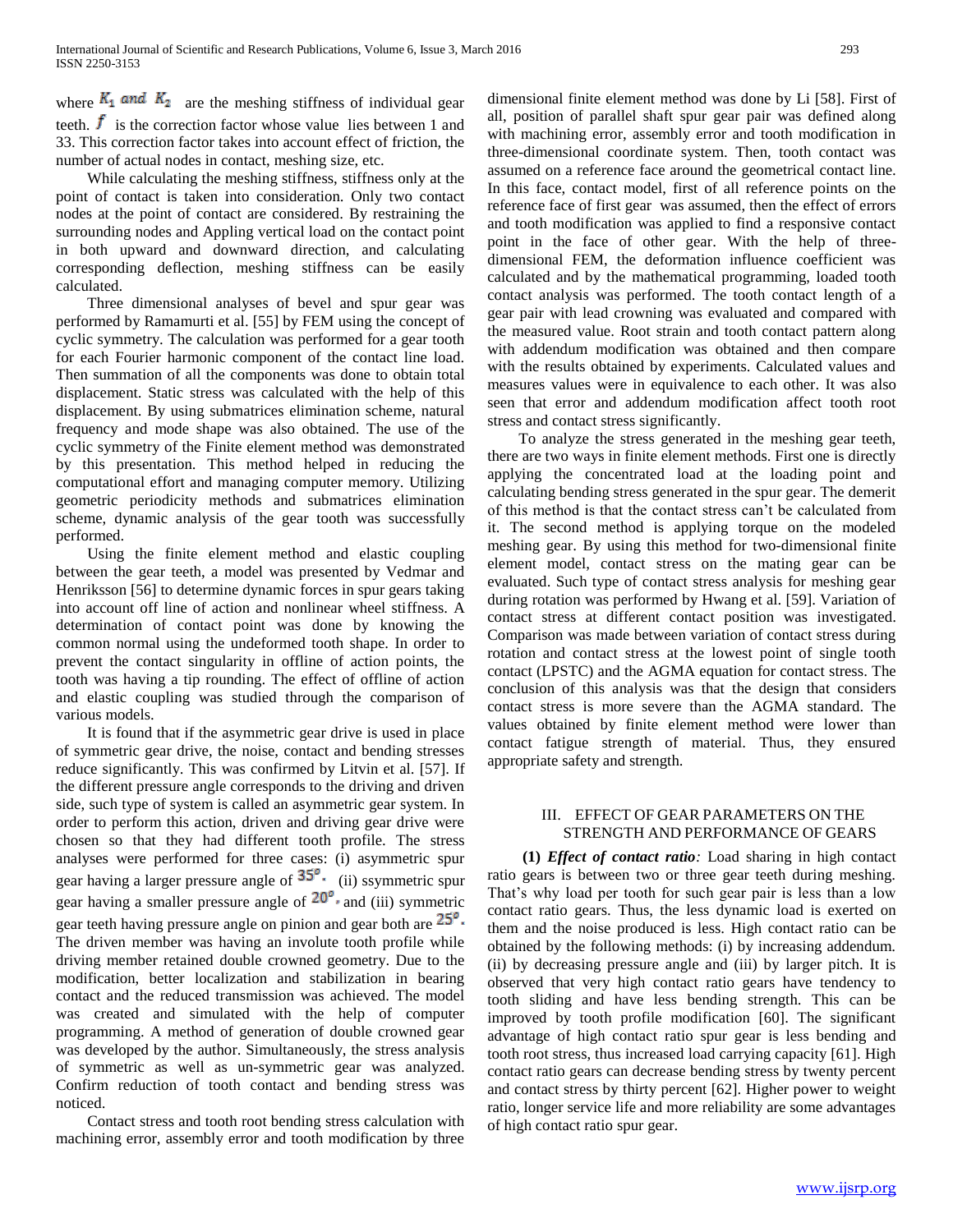where  $K_1$  and  $K_2$  are the meshing stiffness of individual gear teeth.  $\boldsymbol{f}$  is the correction factor whose value lies between 1 and 33. This correction factor takes into account effect of friction, the number of actual nodes in contact, meshing size, etc.

 While calculating the meshing stiffness, stiffness only at the point of contact is taken into consideration. Only two contact nodes at the point of contact are considered. By restraining the surrounding nodes and Appling vertical load on the contact point in both upward and downward direction, and calculating corresponding deflection, meshing stiffness can be easily calculated.

 Three dimensional analyses of bevel and spur gear was performed by Ramamurti et al. [55] by FEM using the concept of cyclic symmetry. The calculation was performed for a gear tooth for each Fourier harmonic component of the contact line load. Then summation of all the components was done to obtain total displacement. Static stress was calculated with the help of this displacement. By using submatrices elimination scheme, natural frequency and mode shape was also obtained. The use of the cyclic symmetry of the Finite element method was demonstrated by this presentation. This method helped in reducing the computational effort and managing computer memory. Utilizing geometric periodicity methods and submatrices elimination scheme, dynamic analysis of the gear tooth was successfully performed.

 Using the finite element method and elastic coupling between the gear teeth, a model was presented by Vedmar and Henriksson [56] to determine dynamic forces in spur gears taking into account off line of action and nonlinear wheel stiffness. A determination of contact point was done by knowing the common normal using the undeformed tooth shape. In order to prevent the contact singularity in offline of action points, the tooth was having a tip rounding. The effect of offline of action and elastic coupling was studied through the comparison of various models.

 It is found that if the asymmetric gear drive is used in place of symmetric gear drive, the noise, contact and bending stresses reduce significantly. This was confirmed by Litvin et al. [57]. If the different pressure angle corresponds to the driving and driven side, such type of system is called an asymmetric gear system. In order to perform this action, driven and driving gear drive were chosen so that they had different tooth profile. The stress analyses were performed for three cases: (i) asymmetric spur gear having a larger pressure angle of  $35^\circ$ . (ii) ssymmetric spur gear having a smaller pressure angle of  $20^{\circ}$ , and (iii) symmetric gear teeth having pressure angle on pinion and gear both are  $25^\circ$ . The driven member was having an involute tooth profile while driving member retained double crowned geometry. Due to the modification, better localization and stabilization in bearing contact and the reduced transmission was achieved. The model was created and simulated with the help of computer programming. A method of generation of double crowned gear was developed by the author. Simultaneously, the stress analysis of symmetric as well as un-symmetric gear was analyzed. Confirm reduction of tooth contact and bending stress was noticed.

 Contact stress and tooth root bending stress calculation with machining error, assembly error and tooth modification by three

dimensional finite element method was done by Li [58]. First of all, position of parallel shaft spur gear pair was defined along with machining error, assembly error and tooth modification in three-dimensional coordinate system. Then, tooth contact was assumed on a reference face around the geometrical contact line. In this face, contact model, first of all reference points on the reference face of first gear was assumed, then the effect of errors and tooth modification was applied to find a responsive contact point in the face of other gear. With the help of threedimensional FEM, the deformation influence coefficient was calculated and by the mathematical programming, loaded tooth contact analysis was performed. The tooth contact length of a gear pair with lead crowning was evaluated and compared with the measured value. Root strain and tooth contact pattern along with addendum modification was obtained and then compare with the results obtained by experiments. Calculated values and measures values were in equivalence to each other. It was also seen that error and addendum modification affect tooth root stress and contact stress significantly.

 To analyze the stress generated in the meshing gear teeth, there are two ways in finite element methods. First one is directly applying the concentrated load at the loading point and calculating bending stress generated in the spur gear. The demerit of this method is that the contact stress can't be calculated from it. The second method is applying torque on the modeled meshing gear. By using this method for two-dimensional finite element model, contact stress on the mating gear can be evaluated. Such type of contact stress analysis for meshing gear during rotation was performed by Hwang et al. [59]. Variation of contact stress at different contact position was investigated. Comparison was made between variation of contact stress during rotation and contact stress at the lowest point of single tooth contact (LPSTC) and the AGMA equation for contact stress. The conclusion of this analysis was that the design that considers contact stress is more severe than the AGMA standard. The values obtained by finite element method were lower than contact fatigue strength of material. Thus, they ensured appropriate safety and strength.

## III. EFFECT OF GEAR PARAMETERS ON THE STRENGTH AND PERFORMANCE OF GEARS

 **(1)** *Effect of contact ratio:* Load sharing in high contact ratio gears is between two or three gear teeth during meshing. That's why load per tooth for such gear pair is less than a low contact ratio gears. Thus, the less dynamic load is exerted on them and the noise produced is less. High contact ratio can be obtained by the following methods: (i) by increasing addendum. (ii) by decreasing pressure angle and (iii) by larger pitch. It is observed that very high contact ratio gears have tendency to tooth sliding and have less bending strength. This can be improved by tooth profile modification [60]. The significant advantage of high contact ratio spur gear is less bending and tooth root stress, thus increased load carrying capacity [61]. High contact ratio gears can decrease bending stress by twenty percent and contact stress by thirty percent [62]. Higher power to weight ratio, longer service life and more reliability are some advantages of high contact ratio spur gear.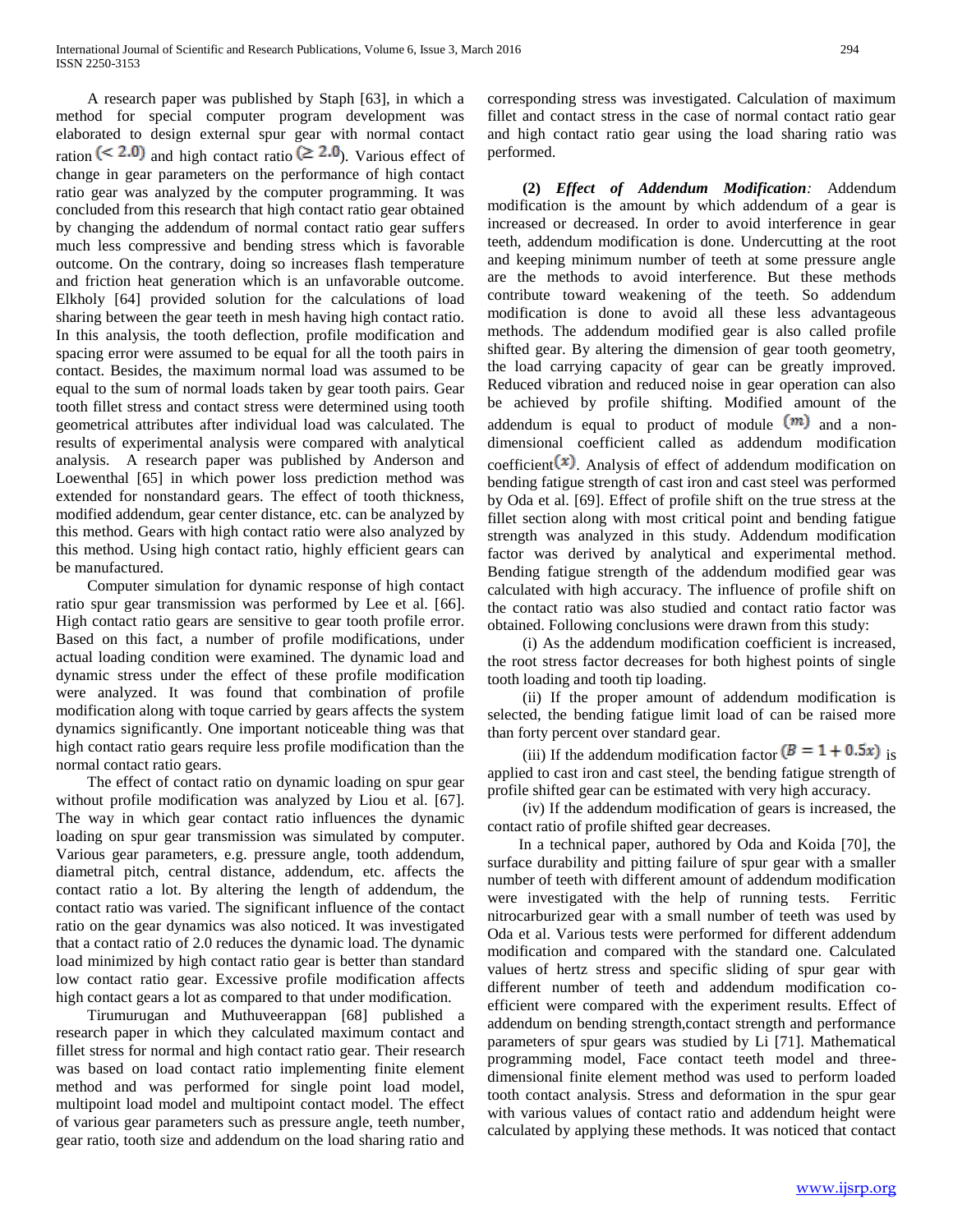A research paper was published by Staph [63], in which a method for special computer program development was elaborated to design external spur gear with normal contact ration (< 2.0) and high contact ratio ( $\geq$  2.0). Various effect of change in gear parameters on the performance of high contact ratio gear was analyzed by the computer programming. It was concluded from this research that high contact ratio gear obtained by changing the addendum of normal contact ratio gear suffers much less compressive and bending stress which is favorable outcome. On the contrary, doing so increases flash temperature and friction heat generation which is an unfavorable outcome. Elkholy [64] provided solution for the calculations of load sharing between the gear teeth in mesh having high contact ratio. In this analysis, the tooth deflection, profile modification and spacing error were assumed to be equal for all the tooth pairs in contact. Besides, the maximum normal load was assumed to be equal to the sum of normal loads taken by gear tooth pairs. Gear tooth fillet stress and contact stress were determined using tooth geometrical attributes after individual load was calculated. The results of experimental analysis were compared with analytical analysis. A research paper was published by Anderson and Loewenthal [65] in which power loss prediction method was extended for nonstandard gears. The effect of tooth thickness, modified addendum, gear center distance, etc. can be analyzed by this method. Gears with high contact ratio were also analyzed by this method. Using high contact ratio, highly efficient gears can be manufactured.

 Computer simulation for dynamic response of high contact ratio spur gear transmission was performed by Lee et al. [66]. High contact ratio gears are sensitive to gear tooth profile error. Based on this fact, a number of profile modifications, under actual loading condition were examined. The dynamic load and dynamic stress under the effect of these profile modification were analyzed. It was found that combination of profile modification along with toque carried by gears affects the system dynamics significantly. One important noticeable thing was that high contact ratio gears require less profile modification than the normal contact ratio gears.

 The effect of contact ratio on dynamic loading on spur gear without profile modification was analyzed by Liou et al. [67]. The way in which gear contact ratio influences the dynamic loading on spur gear transmission was simulated by computer. Various gear parameters, e.g. pressure angle, tooth addendum, diametral pitch, central distance, addendum, etc. affects the contact ratio a lot. By altering the length of addendum, the contact ratio was varied. The significant influence of the contact ratio on the gear dynamics was also noticed. It was investigated that a contact ratio of 2.0 reduces the dynamic load. The dynamic load minimized by high contact ratio gear is better than standard low contact ratio gear. Excessive profile modification affects high contact gears a lot as compared to that under modification.

 Tirumurugan and Muthuveerappan [68] published a research paper in which they calculated maximum contact and fillet stress for normal and high contact ratio gear. Their research was based on load contact ratio implementing finite element method and was performed for single point load model, multipoint load model and multipoint contact model. The effect of various gear parameters such as pressure angle, teeth number, gear ratio, tooth size and addendum on the load sharing ratio and

corresponding stress was investigated. Calculation of maximum fillet and contact stress in the case of normal contact ratio gear and high contact ratio gear using the load sharing ratio was performed.

 **(2)** *Effect of Addendum Modification:* Addendum modification is the amount by which addendum of a gear is increased or decreased. In order to avoid interference in gear teeth, addendum modification is done. Undercutting at the root and keeping minimum number of teeth at some pressure angle are the methods to avoid interference. But these methods contribute toward weakening of the teeth. So addendum modification is done to avoid all these less advantageous methods. The addendum modified gear is also called profile shifted gear. By altering the dimension of gear tooth geometry, the load carrying capacity of gear can be greatly improved. Reduced vibration and reduced noise in gear operation can also be achieved by profile shifting. Modified amount of the addendum is equal to product of module  $(m)$  and a nondimensional coefficient called as addendum modification coefficient $(x)$ . Analysis of effect of addendum modification on bending fatigue strength of cast iron and cast steel was performed by Oda et al. [69]. Effect of profile shift on the true stress at the fillet section along with most critical point and bending fatigue strength was analyzed in this study. Addendum modification factor was derived by analytical and experimental method. Bending fatigue strength of the addendum modified gear was calculated with high accuracy. The influence of profile shift on the contact ratio was also studied and contact ratio factor was obtained. Following conclusions were drawn from this study:

 (i) As the addendum modification coefficient is increased, the root stress factor decreases for both highest points of single tooth loading and tooth tip loading.

 (ii) If the proper amount of addendum modification is selected, the bending fatigue limit load of can be raised more than forty percent over standard gear.

(iii) If the addendum modification factor  $(B = 1 + 0.5x)$  is applied to cast iron and cast steel, the bending fatigue strength of profile shifted gear can be estimated with very high accuracy.

 (iv) If the addendum modification of gears is increased, the contact ratio of profile shifted gear decreases.

 In a technical paper, authored by Oda and Koida [70], the surface durability and pitting failure of spur gear with a smaller number of teeth with different amount of addendum modification were investigated with the help of running tests. Ferritic nitrocarburized gear with a small number of teeth was used by Oda et al. Various tests were performed for different addendum modification and compared with the standard one. Calculated values of hertz stress and specific sliding of spur gear with different number of teeth and addendum modification coefficient were compared with the experiment results. Effect of addendum on bending strength,contact strength and performance parameters of spur gears was studied by Li [71]. Mathematical programming model, Face contact teeth model and threedimensional finite element method was used to perform loaded tooth contact analysis. Stress and deformation in the spur gear with various values of contact ratio and addendum height were calculated by applying these methods. It was noticed that contact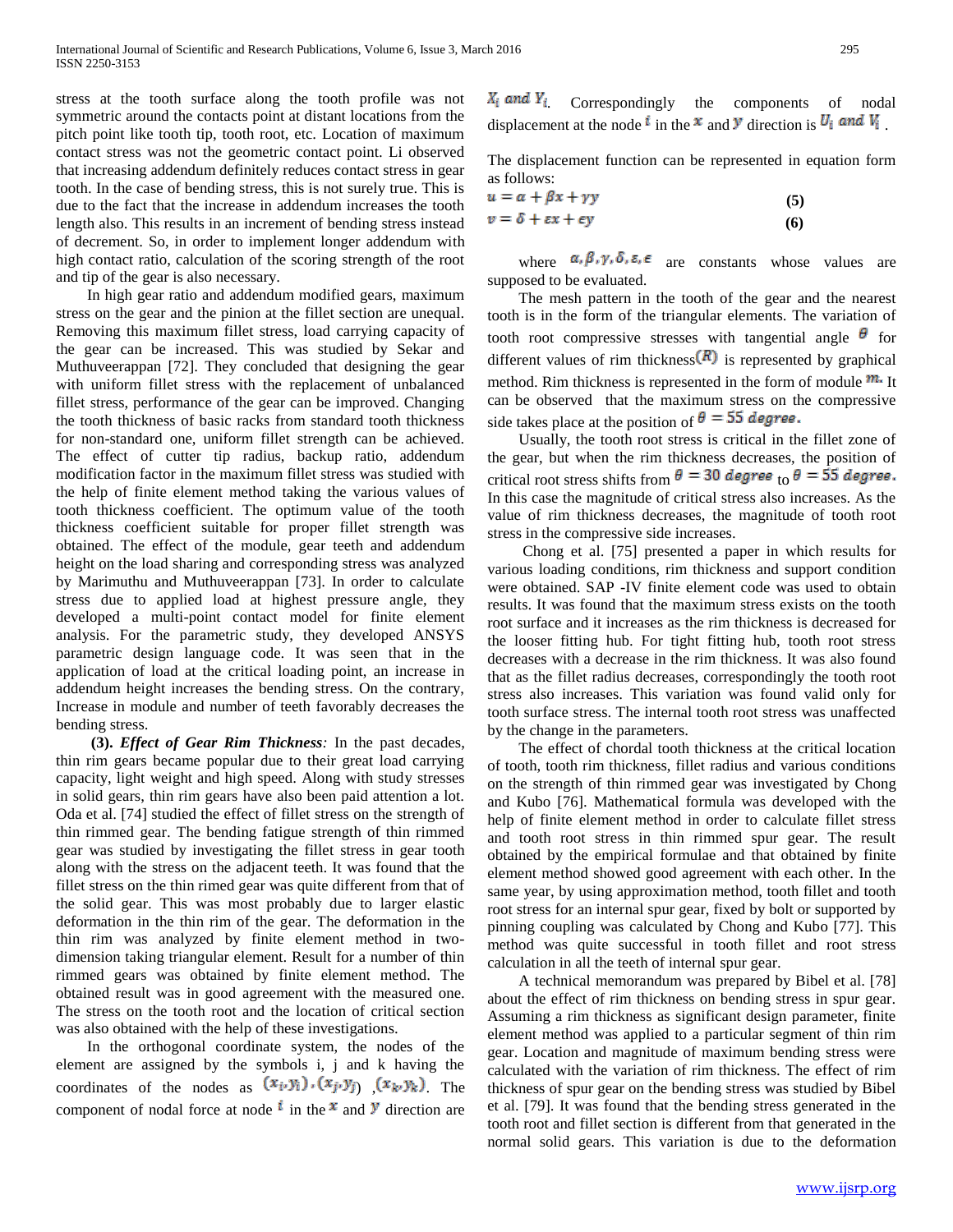stress at the tooth surface along the tooth profile was not symmetric around the contacts point at distant locations from the pitch point like tooth tip, tooth root, etc. Location of maximum contact stress was not the geometric contact point. Li observed that increasing addendum definitely reduces contact stress in gear tooth. In the case of bending stress, this is not surely true. This is due to the fact that the increase in addendum increases the tooth length also. This results in an increment of bending stress instead of decrement. So, in order to implement longer addendum with high contact ratio, calculation of the scoring strength of the root and tip of the gear is also necessary.

 In high gear ratio and addendum modified gears, maximum stress on the gear and the pinion at the fillet section are unequal. Removing this maximum fillet stress, load carrying capacity of the gear can be increased. This was studied by Sekar and Muthuveerappan [72]. They concluded that designing the gear with uniform fillet stress with the replacement of unbalanced fillet stress, performance of the gear can be improved. Changing the tooth thickness of basic racks from standard tooth thickness for non-standard one, uniform fillet strength can be achieved. The effect of cutter tip radius, backup ratio, addendum modification factor in the maximum fillet stress was studied with the help of finite element method taking the various values of tooth thickness coefficient. The optimum value of the tooth thickness coefficient suitable for proper fillet strength was obtained. The effect of the module, gear teeth and addendum height on the load sharing and corresponding stress was analyzed by Marimuthu and Muthuveerappan [73]. In order to calculate stress due to applied load at highest pressure angle, they developed a multi-point contact model for finite element analysis. For the parametric study, they developed ANSYS parametric design language code. It was seen that in the application of load at the critical loading point, an increase in addendum height increases the bending stress. On the contrary, Increase in module and number of teeth favorably decreases the bending stress.

 **(3).** *Effect of Gear Rim Thickness:* In the past decades, thin rim gears became popular due to their great load carrying capacity, light weight and high speed. Along with study stresses in solid gears, thin rim gears have also been paid attention a lot. Oda et al. [74] studied the effect of fillet stress on the strength of thin rimmed gear. The bending fatigue strength of thin rimmed gear was studied by investigating the fillet stress in gear tooth along with the stress on the adjacent teeth. It was found that the fillet stress on the thin rimed gear was quite different from that of the solid gear. This was most probably due to larger elastic deformation in the thin rim of the gear. The deformation in the thin rim was analyzed by finite element method in twodimension taking triangular element. Result for a number of thin rimmed gears was obtained by finite element method. The obtained result was in good agreement with the measured one. The stress on the tooth root and the location of critical section was also obtained with the help of these investigations.

 In the orthogonal coordinate system, the nodes of the element are assigned by the symbols i, j and k having the coordinates of the nodes as  $(x_i, y_i)$ ,  $(x_j, y_j)$   $(x_k, y_k)$  The component of nodal force at node  $\mathbf{i}$  in the  $\mathbf{x}$  and  $\mathbf{y}$  direction are  $X_i$  and  $Y_i$ . Correspondingly the components of nodal displacement at the node  $\hat{i}$  in the  $\hat{x}$  and  $\hat{y}$  direction is  $U_i$  and  $V_i$ .

The displacement function can be represented in equation form as follows:

$$
u = \alpha + \beta x + \gamma y
$$
  
\n
$$
v = \delta + \varepsilon x + \varepsilon y
$$
 (5)

where  $\alpha$ ,  $\beta$ ,  $\gamma$ ,  $\delta$ ,  $\epsilon$ ,  $\epsilon$  are constants whose values are supposed to be evaluated.

 The mesh pattern in the tooth of the gear and the nearest tooth is in the form of the triangular elements. The variation of tooth root compressive stresses with tangential angle  $\theta$  for different values of rim thickness  $(R)$  is represented by graphical method. Rim thickness is represented in the form of module  $m$ . It can be observed that the maximum stress on the compressive side takes place at the position of  $\theta = 55$  degree.

 Usually, the tooth root stress is critical in the fillet zone of the gear, but when the rim thickness decreases, the position of critical root stress shifts from  $\theta = 30$  degree to  $\theta = 55$  degree. In this case the magnitude of critical stress also increases. As the value of rim thickness decreases, the magnitude of tooth root stress in the compressive side increases.

 Chong et al. [75] presented a paper in which results for various loading conditions, rim thickness and support condition were obtained. SAP -IV finite element code was used to obtain results. It was found that the maximum stress exists on the tooth root surface and it increases as the rim thickness is decreased for the looser fitting hub. For tight fitting hub, tooth root stress decreases with a decrease in the rim thickness. It was also found that as the fillet radius decreases, correspondingly the tooth root stress also increases. This variation was found valid only for tooth surface stress. The internal tooth root stress was unaffected by the change in the parameters.

 The effect of chordal tooth thickness at the critical location of tooth, tooth rim thickness, fillet radius and various conditions on the strength of thin rimmed gear was investigated by Chong and Kubo [76]. Mathematical formula was developed with the help of finite element method in order to calculate fillet stress and tooth root stress in thin rimmed spur gear. The result obtained by the empirical formulae and that obtained by finite element method showed good agreement with each other. In the same year, by using approximation method, tooth fillet and tooth root stress for an internal spur gear, fixed by bolt or supported by pinning coupling was calculated by Chong and Kubo [77]. This method was quite successful in tooth fillet and root stress calculation in all the teeth of internal spur gear.

 A technical memorandum was prepared by Bibel et al. [78] about the effect of rim thickness on bending stress in spur gear. Assuming a rim thickness as significant design parameter, finite element method was applied to a particular segment of thin rim gear. Location and magnitude of maximum bending stress were calculated with the variation of rim thickness. The effect of rim thickness of spur gear on the bending stress was studied by Bibel et al. [79]. It was found that the bending stress generated in the tooth root and fillet section is different from that generated in the normal solid gears. This variation is due to the deformation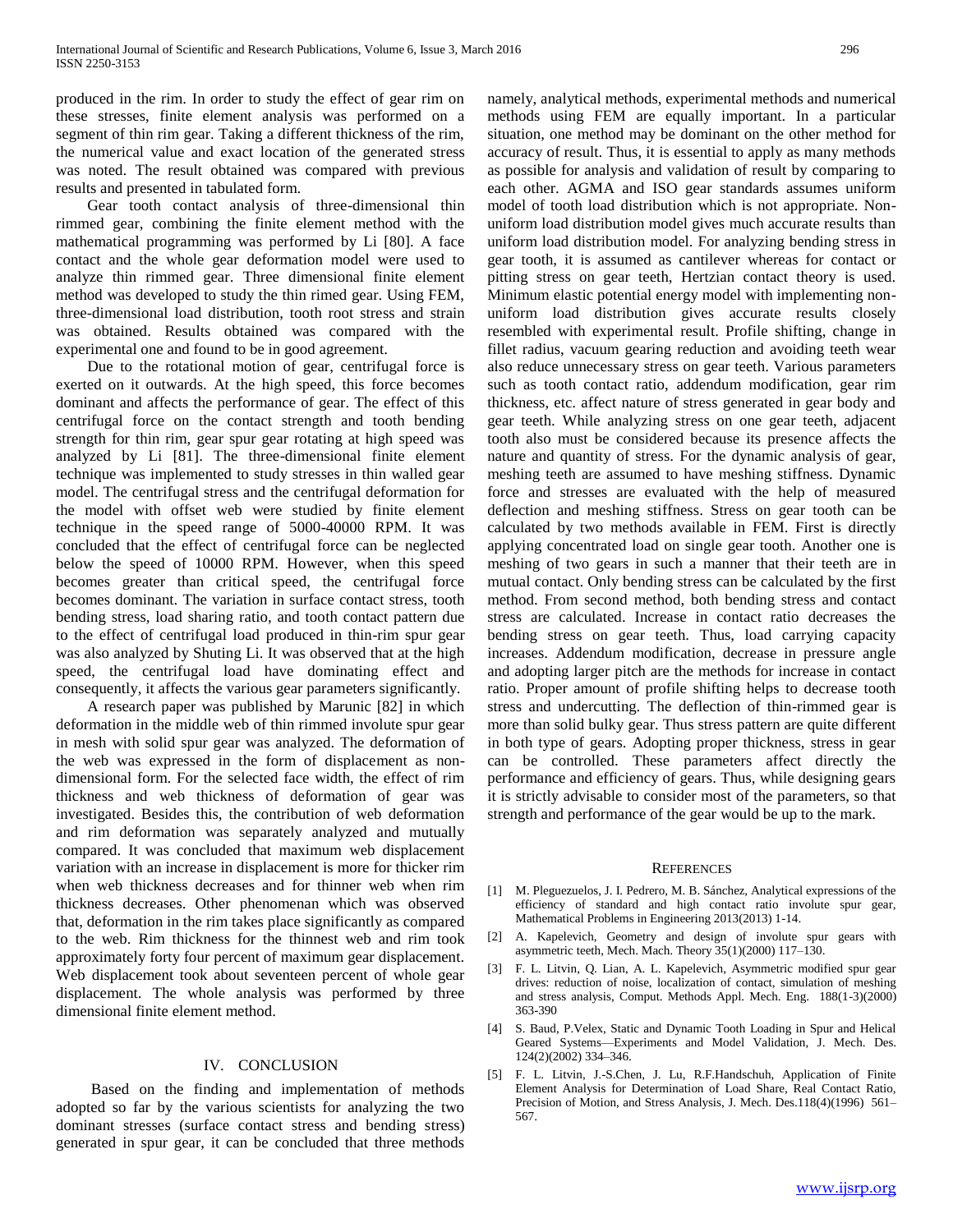produced in the rim. In order to study the effect of gear rim on these stresses, finite element analysis was performed on a segment of thin rim gear. Taking a different thickness of the rim, the numerical value and exact location of the generated stress was noted. The result obtained was compared with previous results and presented in tabulated form.

 Gear tooth contact analysis of three-dimensional thin rimmed gear, combining the finite element method with the mathematical programming was performed by Li [80]. A face contact and the whole gear deformation model were used to analyze thin rimmed gear. Three dimensional finite element method was developed to study the thin rimed gear. Using FEM, three-dimensional load distribution, tooth root stress and strain was obtained. Results obtained was compared with the experimental one and found to be in good agreement.

 Due to the rotational motion of gear, centrifugal force is exerted on it outwards. At the high speed, this force becomes dominant and affects the performance of gear. The effect of this centrifugal force on the contact strength and tooth bending strength for thin rim, gear spur gear rotating at high speed was analyzed by Li [81]. The three-dimensional finite element technique was implemented to study stresses in thin walled gear model. The centrifugal stress and the centrifugal deformation for the model with offset web were studied by finite element technique in the speed range of 5000-40000 RPM. It was concluded that the effect of centrifugal force can be neglected below the speed of 10000 RPM. However, when this speed becomes greater than critical speed, the centrifugal force becomes dominant. The variation in surface contact stress, tooth bending stress, load sharing ratio, and tooth contact pattern due to the effect of centrifugal load produced in thin-rim spur gear was also analyzed by Shuting Li. It was observed that at the high speed, the centrifugal load have dominating effect and consequently, it affects the various gear parameters significantly.

 A research paper was published by Marunic [82] in which deformation in the middle web of thin rimmed involute spur gear in mesh with solid spur gear was analyzed. The deformation of the web was expressed in the form of displacement as nondimensional form. For the selected face width, the effect of rim thickness and web thickness of deformation of gear was investigated. Besides this, the contribution of web deformation and rim deformation was separately analyzed and mutually compared. It was concluded that maximum web displacement variation with an increase in displacement is more for thicker rim when web thickness decreases and for thinner web when rim thickness decreases. Other phenomenan which was observed that, deformation in the rim takes place significantly as compared to the web. Rim thickness for the thinnest web and rim took approximately forty four percent of maximum gear displacement. Web displacement took about seventeen percent of whole gear displacement. The whole analysis was performed by three dimensional finite element method.

## IV. CONCLUSION

 Based on the finding and implementation of methods adopted so far by the various scientists for analyzing the two dominant stresses (surface contact stress and bending stress) generated in spur gear, it can be concluded that three methods

namely, analytical methods, experimental methods and numerical methods using FEM are equally important. In a particular situation, one method may be dominant on the other method for accuracy of result. Thus, it is essential to apply as many methods as possible for analysis and validation of result by comparing to each other. AGMA and ISO gear standards assumes uniform model of tooth load distribution which is not appropriate. Nonuniform load distribution model gives much accurate results than uniform load distribution model. For analyzing bending stress in gear tooth, it is assumed as cantilever whereas for contact or pitting stress on gear teeth, Hertzian contact theory is used. Minimum elastic potential energy model with implementing nonuniform load distribution gives accurate results closely resembled with experimental result. Profile shifting, change in fillet radius, vacuum gearing reduction and avoiding teeth wear also reduce unnecessary stress on gear teeth. Various parameters such as tooth contact ratio, addendum modification, gear rim thickness, etc. affect nature of stress generated in gear body and gear teeth. While analyzing stress on one gear teeth, adjacent tooth also must be considered because its presence affects the nature and quantity of stress. For the dynamic analysis of gear, meshing teeth are assumed to have meshing stiffness. Dynamic force and stresses are evaluated with the help of measured deflection and meshing stiffness. Stress on gear tooth can be calculated by two methods available in FEM. First is directly applying concentrated load on single gear tooth. Another one is meshing of two gears in such a manner that their teeth are in mutual contact. Only bending stress can be calculated by the first method. From second method, both bending stress and contact stress are calculated. Increase in contact ratio decreases the bending stress on gear teeth. Thus, load carrying capacity increases. Addendum modification, decrease in pressure angle and adopting larger pitch are the methods for increase in contact ratio. Proper amount of profile shifting helps to decrease tooth stress and undercutting. The deflection of thin-rimmed gear is more than solid bulky gear. Thus stress pattern are quite different in both type of gears. Adopting proper thickness, stress in gear can be controlled. These parameters affect directly the performance and efficiency of gears. Thus, while designing gears it is strictly advisable to consider most of the parameters, so that strength and performance of the gear would be up to the mark.

#### **REFERENCES**

- [1] M. Pleguezuelos, J. I. Pedrero, M. B. Sánchez, Analytical expressions of the efficiency of standard and high contact ratio involute spur gear, Mathematical Problems in Engineering 2013(2013) 1-14.
- [2] A. Kapelevich, Geometry and design of involute spur gears with asymmetric teeth, Mech. Mach. Theory 35(1)(2000) 117–130.
- [3] F. L. Litvin, Q. Lian, A. L. Kapelevich, Asymmetric modified spur gear drives: reduction of noise, localization of contact, simulation of meshing and stress analysis, Comput. Methods Appl. Mech. Eng. 188(1-3)(2000) 363-390
- [4] S. Baud, P.Velex, Static and Dynamic Tooth Loading in Spur and Helical Geared Systems—Experiments and Model Validation, J. Mech. Des. 124(2)(2002) 334–346.
- [5] F. L. Litvin, J.-S.Chen, J. Lu, R.F.Handschuh, Application of Finite Element Analysis for Determination of Load Share, Real Contact Ratio, Precision of Motion, and Stress Analysis, J. Mech. Des.118(4)(1996) 561– 567.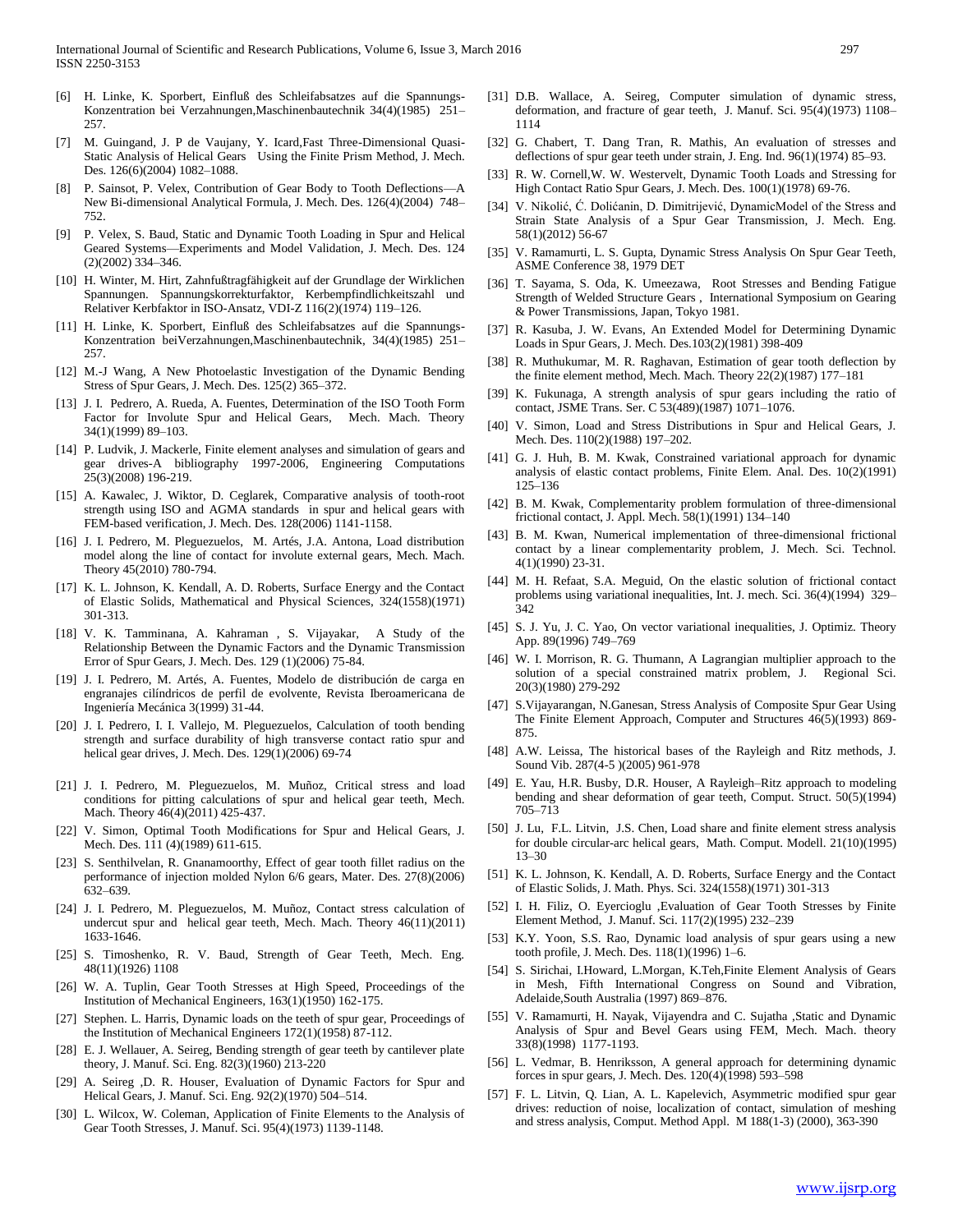- [6] H. Linke, K. Sporbert, Einfluß des Schleifabsatzes auf die Spannungs-Konzentration bei Verzahnungen,Maschinenbautechnik 34(4)(1985) 251– 257.
- M. Guingand, J. P de Vaujany, Y. Icard,Fast Three-Dimensional Quasi-Static Analysis of Helical Gears Using the Finite Prism Method, J. Mech. Des. 126(6)(2004) 1082–1088.
- [8] P. Sainsot, P. Velex, Contribution of Gear Body to Tooth Deflections—A New Bi-dimensional Analytical Formula, J. Mech. Des. 126(4)(2004) 748– 752.
- [9] P. Velex, S. Baud, Static and Dynamic Tooth Loading in Spur and Helical Geared Systems—Experiments and Model Validation, J. Mech. Des. 124 (2)(2002) 334–346.
- [10] H. Winter, M. Hirt, Zahnfußtragfähigkeit auf der Grundlage der Wirklichen Spannungen. Spannungskorrekturfaktor, Kerbempfindlichkeitszahl und Relativer Kerbfaktor in ISO-Ansatz, VDI-Z 116(2)(1974) 119–126.
- [11] H. Linke, K. Sporbert, Einfluß des Schleifabsatzes auf die Spannungs-Konzentration beiVerzahnungen,Maschinenbautechnik, 34(4)(1985) 251– 257.
- [12] M.-J Wang, A New Photoelastic Investigation of the Dynamic Bending Stress of Spur Gears, J. Mech. Des. 125(2) 365–372.
- [13] J. I. Pedrero, A. Rueda, A. Fuentes, Determination of the ISO Tooth Form Factor for Involute Spur and Helical Gears, Mech. Mach. Theory 34(1)(1999) 89–103.
- [14] P. Ludvik, J. Mackerle, Finite element analyses and simulation of gears and gear drives-A bibliography 1997-2006, Engineering Computations 25(3)(2008) 196-219.
- [15] A. Kawalec, J. Wiktor, D. Ceglarek, Comparative analysis of tooth-root strength using ISO and AGMA standards in spur and helical gears with FEM-based verification, J. Mech. Des. 128(2006) 1141-1158.
- [16] J. I. Pedrero, M. Pleguezuelos, M. Artés, J.A. Antona, Load distribution model along the line of contact for involute external gears, Mech. Mach. Theory 45(2010) 780-794.
- [17] K. L. Johnson, K. Kendall, A. D. Roberts, Surface Energy and the Contact of Elastic Solids, Mathematical and Physical Sciences, 324(1558)(1971) 301-313.
- [18] V. K. Tamminana, A. Kahraman , S. Vijayakar, A Study of the Relationship Between the Dynamic Factors and the Dynamic Transmission Error of Spur Gears, J. Mech. Des. 129 (1)(2006) 75-84.
- [19] J. I. Pedrero, M. Artés, A. Fuentes, Modelo de distribución de carga en engranajes cilíndricos de perfil de evolvente, Revista Iberoamericana de Ingeniería Mecánica 3(1999) 31-44.
- [20] J. I. Pedrero, I. I. Vallejo, M. Pleguezuelos, Calculation of tooth bending strength and surface durability of high transverse contact ratio spur and helical gear drives, J. Mech. Des. 129(1)(2006) 69-74
- [21] J. I. Pedrero, M. Pleguezuelos, M. Muñoz, Critical stress and load conditions for pitting calculations of spur and helical gear teeth, Mech. Mach. Theory 46(4)(2011) 425-437.
- [22] V. Simon, Optimal Tooth Modifications for Spur and Helical Gears, J. Mech. Des. 111 (4)(1989) 611-615.
- [23] S. Senthilvelan, R. Gnanamoorthy, Effect of gear tooth fillet radius on the performance of injection molded Nylon 6/6 gears, Mater. Des. 27(8)(2006) 632–639.
- [24] J. I. Pedrero, M. Pleguezuelos, M. Muñoz, Contact stress calculation of undercut spur and helical gear teeth, Mech. Mach. Theory 46(11)(2011) 1633-1646.
- [25] S. Timoshenko, R. V. Baud, Strength of Gear Teeth, Mech. Eng. 48(11)(1926) 1108
- [26] W. A. Tuplin, Gear Tooth Stresses at High Speed, Proceedings of the Institution of Mechanical Engineers, 163(1)(1950) 162-175.
- [27] Stephen. L. Harris, Dynamic loads on the teeth of spur gear, Proceedings of the Institution of Mechanical Engineers 172(1)(1958) 87-112.
- [28] E. J. Wellauer, A. Seireg, Bending strength of gear teeth by cantilever plate theory, J. Manuf. Sci. Eng. 82(3)(1960) 213-220
- [29] A. Seireg ,D. R. Houser, Evaluation of Dynamic Factors for Spur and Helical Gears, J. Manuf. Sci. Eng. 92(2)(1970) 504–514.
- [30] L. Wilcox, W. Coleman, Application of Finite Elements to the Analysis of Gear Tooth Stresses, J. Manuf. Sci. 95(4)(1973) 1139-1148.
- [31] D.B. Wallace, A. Seireg, Computer simulation of dynamic stress, deformation, and fracture of gear teeth, J. Manuf. Sci. 95(4)(1973) 1108– 1114
- [32] G. Chabert, T. Dang Tran, R. Mathis, An evaluation of stresses and deflections of spur gear teeth under strain, J. Eng. Ind. 96(1)(1974) 85–93.
- [33] R. W. Cornell, W. W. Westervelt, Dynamic Tooth Loads and Stressing for High Contact Ratio Spur Gears, J. Mech. Des. 100(1)(1978) 69-76.
- [34] V. Nikolić, Ć. Dolićanin, D. Dimitrijević, DynamicModel of the Stress and Strain State Analysis of a Spur Gear Transmission, J. Mech. Eng. 58(1)(2012) 56-67
- [35] V. Ramamurti, L. S. Gupta, Dynamic Stress Analysis On Spur Gear Teeth, ASME Conference 38, 1979 DET
- [36] T. Sayama, S. Oda, K. Umeezawa, Root Stresses and Bending Fatigue Strength of Welded Structure Gears , International Symposium on Gearing & Power Transmissions, Japan, Tokyo 1981.
- [37] R. Kasuba, J. W. Evans, An Extended Model for Determining Dynamic Loads in Spur Gears, J. Mech. Des.103(2)(1981) 398-409
- [38] R. Muthukumar, M. R. Raghavan, Estimation of gear tooth deflection by the finite element method, Mech. Mach. Theory 22(2)(1987) 177–181
- [39] K. Fukunaga, A strength analysis of spur gears including the ratio of contact, JSME Trans. Ser. C 53(489)(1987) 1071–1076.
- [40] V. Simon, Load and Stress Distributions in Spur and Helical Gears, J. Mech. Des. 110(2)(1988) 197–202.
- [41] G. J. Huh, B. M. Kwak, Constrained variational approach for dynamic analysis of elastic contact problems, Finite Elem. Anal. Des. 10(2)(1991) 125–136
- [42] B. M. Kwak, Complementarity problem formulation of three-dimensional frictional contact, J. Appl. Mech. 58(1)(1991) 134–140
- [43] B. M. Kwan, Numerical implementation of three-dimensional frictional contact by a linear complementarity problem, J. Mech. Sci. Technol. 4(1)(1990) 23-31.
- [44] M. H. Refaat, S.A. Meguid, On the elastic solution of frictional contact problems using variational inequalities, Int. J. mech. Sci. 36(4)(1994) 329– 342
- [45] S. J. Yu, J. C. Yao, On vector variational inequalities, J. Optimiz. Theory App. 89(1996) 749–769
- [46] W. I. Morrison, R. G. Thumann, A Lagrangian multiplier approach to the solution of a special constrained matrix problem, J. Regional Sci. 20(3)(1980) 279-292
- [47] S.Vijayarangan, N.Ganesan, Stress Analysis of Composite Spur Gear Using The Finite Element Approach, Computer and Structures 46(5)(1993) 869- 875.
- [48] A.W. Leissa, The historical bases of the Rayleigh and Ritz methods, J. Sound Vib. 287(4-5 )(2005) 961-978
- [49] E. Yau, H.R. Busby, D.R. Houser, A Rayleigh–Ritz approach to modeling bending and shear deformation of gear teeth, Comput. Struct. 50(5)(1994) 705–713
- [50] J. Lu, F.L. Litvin, J.S. Chen, Load share and finite element stress analysis for double circular-arc helical gears, Math. Comput. Modell. 21(10)(1995) 13–30
- [51] K. L. Johnson, K. Kendall, A. D. Roberts, Surface Energy and the Contact of Elastic Solids, J. Math. Phys. Sci. 324(1558)(1971) 301-313
- [52] I. H. Filiz, O. Eyercioglu ,Evaluation of Gear Tooth Stresses by Finite Element Method, J. Manuf. Sci. 117(2)(1995) 232–239
- [53] K.Y. Yoon, S.S. Rao, Dynamic load analysis of spur gears using a new tooth profile, J. Mech. Des. 118(1)(1996) 1–6.
- [54] S. Sirichai, I.Howard, L.Morgan, K.Teh,Finite Element Analysis of Gears in Mesh, Fifth International Congress on Sound and Vibration, Adelaide,South Australia (1997) 869–876.
- [55] V. Ramamurti, H. Nayak, Vijayendra and C. Sujatha ,Static and Dynamic Analysis of Spur and Bevel Gears using FEM, Mech. Mach. theory 33(8)(1998) 1177-1193.
- [56] L. Vedmar, B. Henriksson, A general approach for determining dynamic forces in spur gears, J. Mech. Des. 120(4)(1998) 593–598
- [57] F. L. Litvin, Q. Lian, A. L. Kapelevich, Asymmetric modified spur gear drives: reduction of noise, localization of contact, simulation of meshing and stress analysis, Comput. Method Appl. M 188(1-3) (2000), 363-390